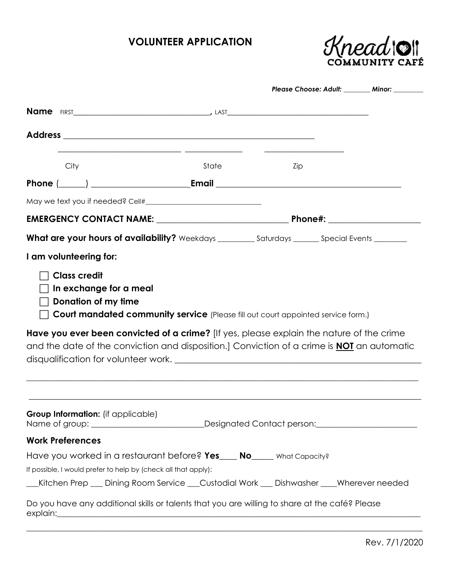# **VOLUNTEER APPLICATION**



|                                                                      |                                                                                                                                                                                                                                                                                                                           | Please Choose: Adult: _______ Minor: ______                                |  |
|----------------------------------------------------------------------|---------------------------------------------------------------------------------------------------------------------------------------------------------------------------------------------------------------------------------------------------------------------------------------------------------------------------|----------------------------------------------------------------------------|--|
|                                                                      |                                                                                                                                                                                                                                                                                                                           |                                                                            |  |
|                                                                      |                                                                                                                                                                                                                                                                                                                           |                                                                            |  |
|                                                                      |                                                                                                                                                                                                                                                                                                                           | the control of the control of the control of the control of the control of |  |
| City                                                                 | <u> 1989 - Jan Samuel Barbara, margaret eta idazlea (h. 1982).</u><br>State                                                                                                                                                                                                                                               | Zip                                                                        |  |
|                                                                      |                                                                                                                                                                                                                                                                                                                           |                                                                            |  |
|                                                                      |                                                                                                                                                                                                                                                                                                                           |                                                                            |  |
|                                                                      |                                                                                                                                                                                                                                                                                                                           |                                                                            |  |
|                                                                      | What are your hours of availability? Weekdays _________ Saturdays _______ Special Events ________                                                                                                                                                                                                                         |                                                                            |  |
| I am volunteering for:                                               |                                                                                                                                                                                                                                                                                                                           |                                                                            |  |
| <b>Class credit</b><br>In exchange for a meal<br>Donation of my time | Court mandated community service (Please fill out court appointed service form.)<br>Have you ever been convicted of a crime? [If yes, please explain the nature of the crime<br>and the date of the conviction and disposition.] Conviction of a crime is <b>NOI</b> an automatic<br>disqualification for volunteer work. |                                                                            |  |
| Group Information: (if applicable)                                   |                                                                                                                                                                                                                                                                                                                           |                                                                            |  |
|                                                                      |                                                                                                                                                                                                                                                                                                                           |                                                                            |  |
| <b>Work Preferences</b>                                              |                                                                                                                                                                                                                                                                                                                           |                                                                            |  |
|                                                                      | Have you worked in a restaurant before? Yes____ No____ What Capacity?                                                                                                                                                                                                                                                     |                                                                            |  |
|                                                                      | If possible, I would prefer to help by (check all that apply):                                                                                                                                                                                                                                                            |                                                                            |  |
|                                                                      | __Kitchen Prep __ Dining Room Service __Custodial Work __ Dishwasher ___Wherever needed                                                                                                                                                                                                                                   |                                                                            |  |
|                                                                      | Do you have any additional skills or talents that you are willing to share at the café? Please                                                                                                                                                                                                                            |                                                                            |  |

 $\_$  , and the set of the set of the set of the set of the set of the set of the set of the set of the set of the set of the set of the set of the set of the set of the set of the set of the set of the set of the set of th